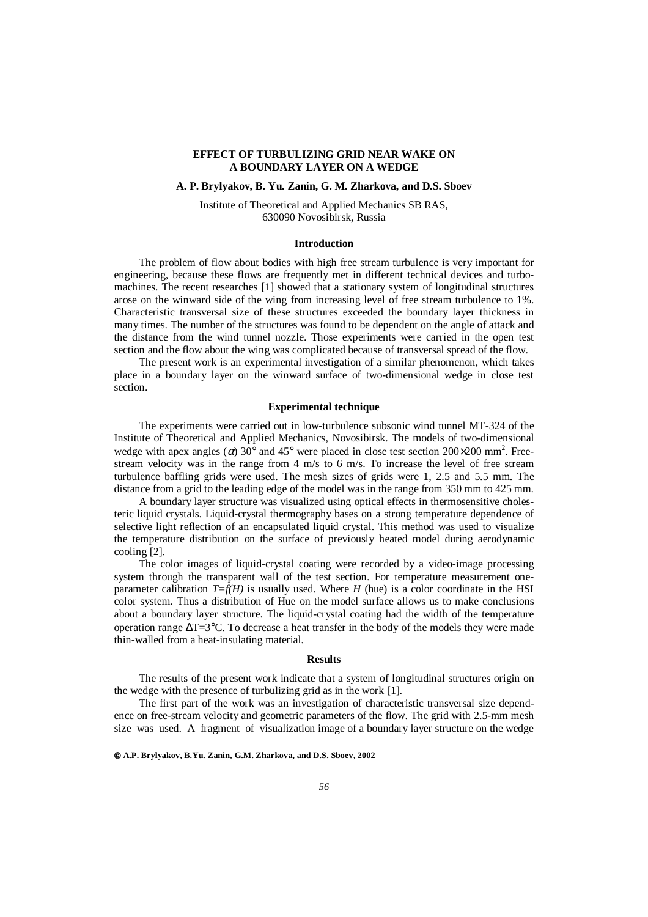# **EFFECT OF TURBULIZING GRID NEAR WAKE ON A BOUNDARY LAYER ON A WEDGE**

# **A. P. Brylyakov, B. Yu. Zanin, G. M. Zharkova, and D.S. Sboev**

Institute of Theoretical and Applied Mechanics SB RAS, 630090 Novosibirsk, Russia

### **Introduction**

The problem of flow about bodies with high free stream turbulence is very important for engineering, because these flows are frequently met in different technical devices and turbomachines. The recent researches [1] showed that a stationary system of longitudinal structures arose on the winward side of the wing from increasing level of free stream turbulence to 1%. Characteristic transversal size of these structures exceeded the boundary layer thickness in many times. The number of the structures was found to be dependent on the angle of attack and the distance from the wind tunnel nozzle. Those experiments were carried in the open test section and the flow about the wing was complicated because of transversal spread of the flow.

The present work is an experimental investigation of a similar phenomenon, which takes place in a boundary layer on the winward surface of two-dimensional wedge in close test section.

## **Experimental technique**

The experiments were carried out in low-turbulence subsonic wind tunnel MT-324 of the Institute of Theoretical and Applied Mechanics, Novosibirsk. The models of two-dimensional wedge with apex angles ( $\alpha$ ) 30° and 45° were placed in close test section 200×200 mm<sup>2</sup>. Freestream velocity was in the range from 4 m/s to 6 m/s. To increase the level of free stream turbulence baffling grids were used. The mesh sizes of grids were 1, 2.5 and 5.5 mm. The distance from a grid to the leading edge of the model was in the range from 350 mm to 425 mm.

A boundary layer structure was visualized using optical effects in thermosensitive cholesteric liquid crystals. Liquid-crystal thermography bases on a strong temperature dependence of selective light reflection of an encapsulated liquid crystal. This method was used to visualize the temperature distribution on the surface of previously heated model during aerodynamic cooling [2].

The color images of liquid-crystal coating were recorded by a video-image processing system through the transparent wall of the test section. For temperature measurement oneparameter calibration  $T=f(H)$  is usually used. Where *H* (hue) is a color coordinate in the HSI color system. Thus a distribution of Hue on the model surface allows us to make conclusions about a boundary layer structure. The liquid-crystal coating had the width of the temperature operation range ∆T=3°C. To decrease a heat transfer in the body of the models they were made thin-walled from a heat-insulating material.

### **Results**

The results of the present work indicate that a system of longitudinal structures origin on the wedge with the presence of turbulizing grid as in the work [1].

The first part of the work was an investigation of characteristic transversal size dependence on free-stream velocity and geometric parameters of the flow. The grid with 2.5-mm mesh size was used. A fragment of visualization image of a boundary layer structure on the wedge

**A.P. Brylyakov, B.Yu. Zanin, G.M. Zharkova, and D.S. Sboev, 2002**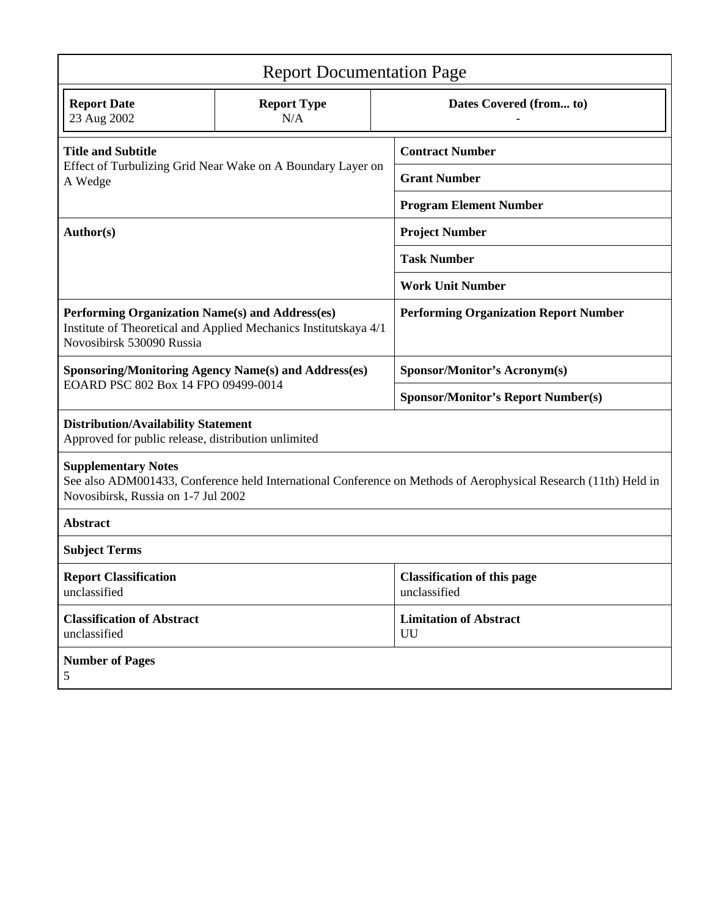| <b>Report Documentation Page</b>                                                                                                                                                     |                           |  |                                                    |  |
|--------------------------------------------------------------------------------------------------------------------------------------------------------------------------------------|---------------------------|--|----------------------------------------------------|--|
| <b>Report Date</b><br>23 Aug 2002                                                                                                                                                    | <b>Report Type</b><br>N/A |  | Dates Covered (from to)                            |  |
| <b>Title and Subtitle</b><br>Effect of Turbulizing Grid Near Wake on A Boundary Layer on<br>A Wedge                                                                                  |                           |  | <b>Contract Number</b>                             |  |
|                                                                                                                                                                                      |                           |  | <b>Grant Number</b>                                |  |
|                                                                                                                                                                                      |                           |  | <b>Program Element Number</b>                      |  |
| Author(s)                                                                                                                                                                            |                           |  | <b>Project Number</b>                              |  |
|                                                                                                                                                                                      |                           |  | <b>Task Number</b>                                 |  |
|                                                                                                                                                                                      |                           |  | <b>Work Unit Number</b>                            |  |
| Performing Organization Name(s) and Address(es)<br>Institute of Theoretical and Applied Mechanics Institutskaya 4/1<br>Novosibirsk 530090 Russia                                     |                           |  | <b>Performing Organization Report Number</b>       |  |
| <b>Sponsoring/Monitoring Agency Name(s) and Address(es)</b>                                                                                                                          |                           |  | Sponsor/Monitor's Acronym(s)                       |  |
| EOARD PSC 802 Box 14 FPO 09499-0014                                                                                                                                                  |                           |  | <b>Sponsor/Monitor's Report Number(s)</b>          |  |
| <b>Distribution/Availability Statement</b><br>Approved for public release, distribution unlimited                                                                                    |                           |  |                                                    |  |
| <b>Supplementary Notes</b><br>See also ADM001433, Conference held International Conference on Methods of Aerophysical Research (11th) Held in<br>Novosibirsk, Russia on 1-7 Jul 2002 |                           |  |                                                    |  |
| <b>Abstract</b>                                                                                                                                                                      |                           |  |                                                    |  |
| <b>Subject Terms</b>                                                                                                                                                                 |                           |  |                                                    |  |
| <b>Report Classification</b><br>unclassified                                                                                                                                         |                           |  | <b>Classification of this page</b><br>unclassified |  |
| <b>Classification of Abstract</b><br>unclassified                                                                                                                                    |                           |  | <b>Limitation of Abstract</b><br>UU                |  |
| <b>Number of Pages</b><br>5                                                                                                                                                          |                           |  |                                                    |  |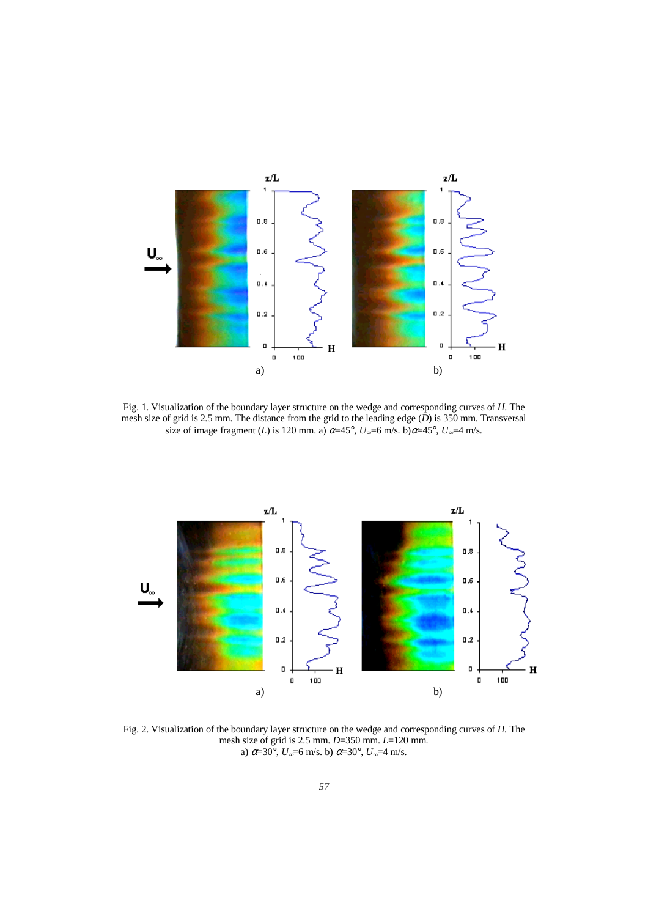

Fig. 1. Visualization of the boundary layer structure on the wedge and corresponding curves of *H*. The mesh size of grid is 2.5 mm. The distance from the grid to the leading edge (*D*) is 350 mm. Transversal size of image fragment (*L*) is 120 mm. a)  $\alpha$ =45°,  $U_{\infty}$ =6 m/s. b) $\alpha$ =45°,  $U_{\infty}$ =4 m/s.



Fig. 2. Visualization of the boundary layer structure on the wedge and corresponding curves of *H.* The mesh size of grid is 2.5 mm. *D*=350 mm. *L*=120 mm. a) α=30°, *U*<sub>∞</sub>=6 m/s. b) α=30°, *U*<sub>∞</sub>=4 m/s.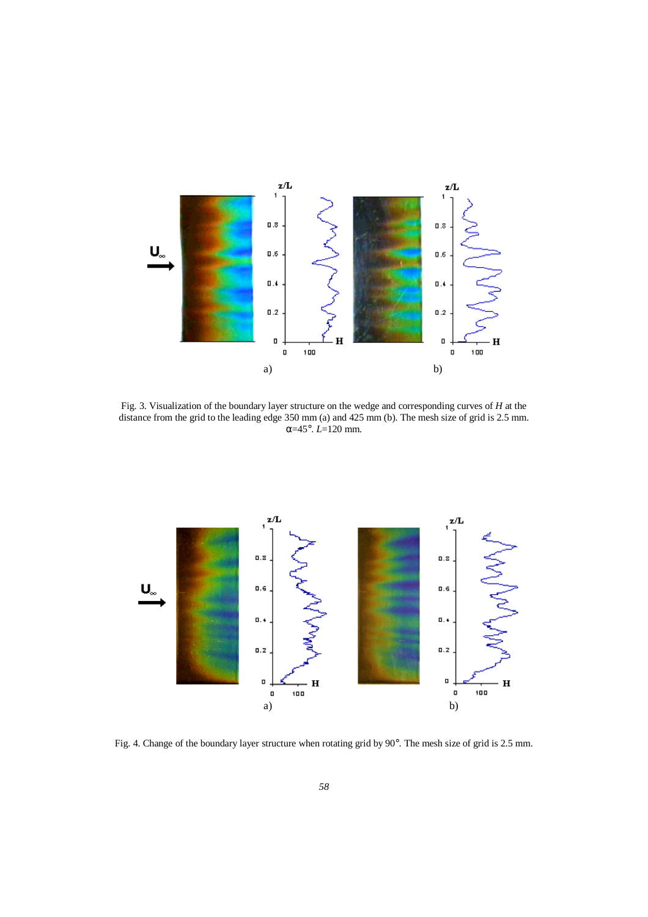

Fig. 3. Visualization of the boundary layer structure on the wedge and corresponding curves of *H* at the distance from the grid to the leading edge 350 mm (a) and 425 mm (b). The mesh size of grid is 2.5 mm. α=45°. *L*=120 mm.



Fig. 4. Change of the boundary layer structure when rotating grid by 90°. The mesh size of grid is 2.5 mm.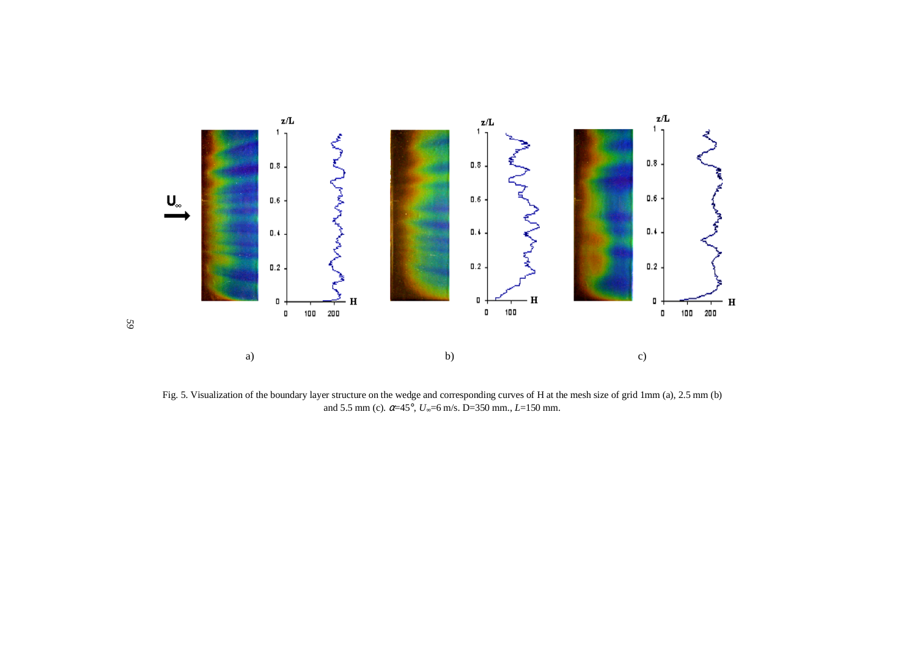

Fig. 5. Visualization of the boundary layer structure on the wedge and corresponding curves of H at the mesh size of grid 1mm (a), 2.5 mm (b) and 5.5 mm (c).  $\alpha$ =45°,  $U_{\infty}$ =6 m/s. D=350 mm., L=150 mm.